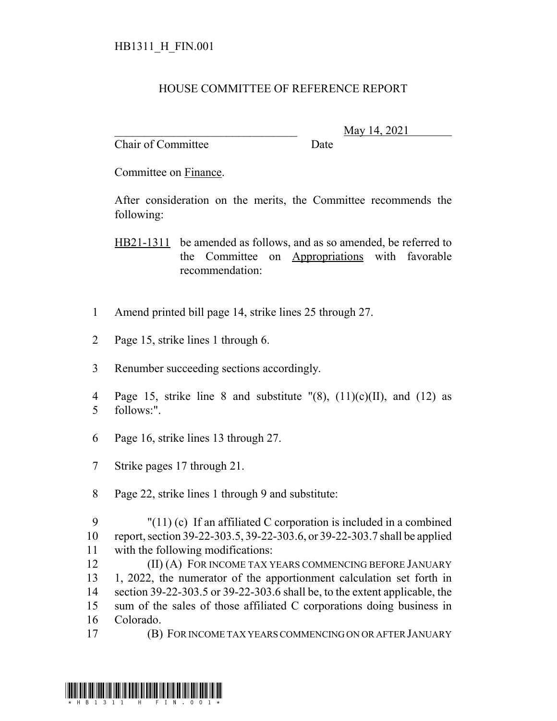## HOUSE COMMITTEE OF REFERENCE REPORT

Chair of Committee Date

\_\_\_\_\_\_\_\_\_\_\_\_\_\_\_\_\_\_\_\_\_\_\_\_\_\_\_\_\_\_\_ May 14, 2021

Committee on Finance.

After consideration on the merits, the Committee recommends the following:

HB21-1311 be amended as follows, and as so amended, be referred to the Committee on Appropriations with favorable recommendation:

- 1 Amend printed bill page 14, strike lines 25 through 27.
- 2 Page 15, strike lines 1 through 6.
- 3 Renumber succeeding sections accordingly.
- 4 Page 15, strike line 8 and substitute  $\Gamma(8)$ , (11)(c)(II), and (12) as 5 follows:".
- 6 Page 16, strike lines 13 through 27.
- 7 Strike pages 17 through 21.
- 8 Page 22, strike lines 1 through 9 and substitute:
- 9 "(11) (c) If an affiliated C corporation is included in a combined 10 report, section 39-22-303.5, 39-22-303.6, or 39-22-303.7 shall be applied 11 with the following modifications:

**(II) (A) FOR INCOME TAX YEARS COMMENCING BEFORE JANUARY**  1, 2022, the numerator of the apportionment calculation set forth in section 39-22-303.5 or 39-22-303.6 shall be, to the extent applicable, the sum of the sales of those affiliated C corporations doing business in Colorado.

17 (B) FOR INCOME TAX YEARS COMMENCING ON OR AFTER JANUARY

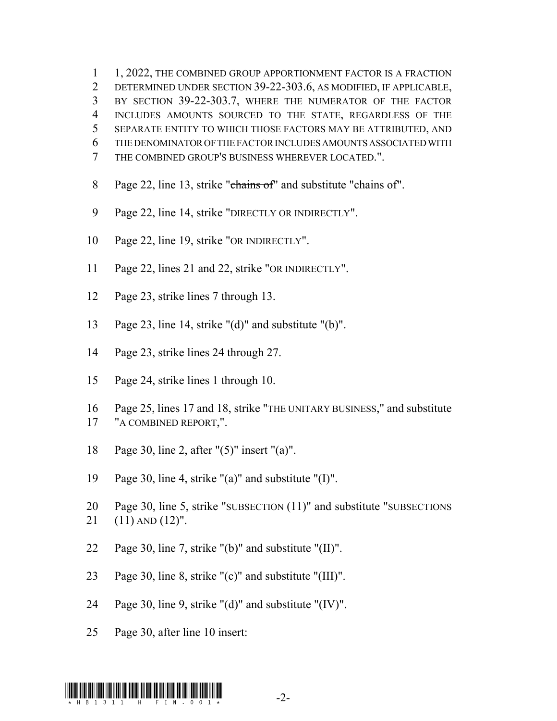1, 2022, THE COMBINED GROUP APPORTIONMENT FACTOR IS A FRACTION DETERMINED UNDER SECTION 39-22-303.6, AS MODIFIED, IF APPLICABLE, BY SECTION 39-22-303.7, WHERE THE NUMERATOR OF THE FACTOR INCLUDES AMOUNTS SOURCED TO THE STATE, REGARDLESS OF THE SEPARATE ENTITY TO WHICH THOSE FACTORS MAY BE ATTRIBUTED, AND THE DENOMINATOR OF THE FACTOR INCLUDES AMOUNTS ASSOCIATED WITH THE COMBINED GROUP'S BUSINESS WHEREVER LOCATED.".

- 8 Page 22, line 13, strike "chains of" and substitute "chains of".
- Page 22, line 14, strike "DIRECTLY OR INDIRECTLY".
- Page 22, line 19, strike "OR INDIRECTLY".
- Page 22, lines 21 and 22, strike "OR INDIRECTLY".
- Page 23, strike lines 7 through 13.
- Page 23, line 14, strike "(d)" and substitute "(b)".
- Page 23, strike lines 24 through 27.
- Page 24, strike lines 1 through 10.
- Page 25, lines 17 and 18, strike "THE UNITARY BUSINESS," and substitute "A COMBINED REPORT,".
- Page 30, line 2, after "(5)" insert "(a)".
- Page 30, line 4, strike "(a)" and substitute "(I)".
- Page 30, line 5, strike "SUBSECTION (11)" and substitute "SUBSECTIONS (11) AND (12)".
- Page 30, line 7, strike "(b)" and substitute "(II)".
- Page 30, line 8, strike "(c)" and substitute "(III)".
- Page 30, line 9, strike "(d)" and substitute "(IV)".
- Page 30, after line 10 insert: